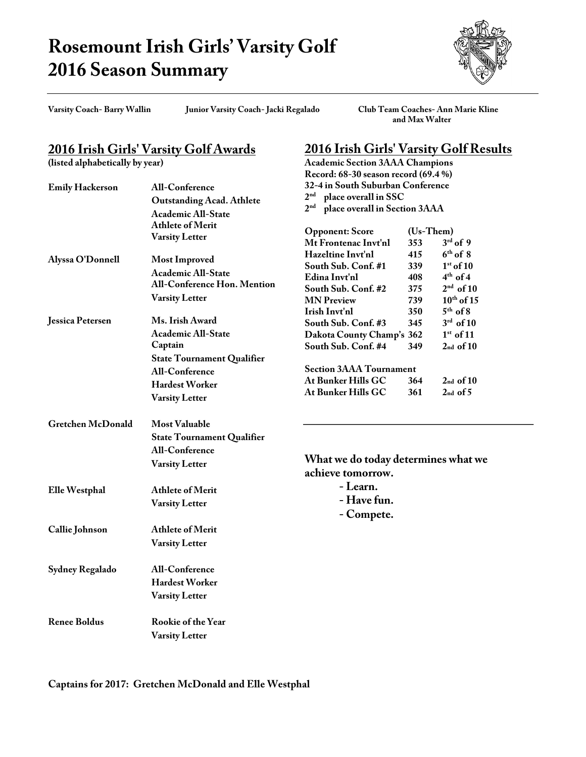## **Rosemount Irish Girls' Varsity Golf 2016 Season Summary**



**Varsity Coach- Barry Wallin Junior Varsity Coach- Jacki Regalado Club Team Coaches- Ann Marie Kline and Max Walter**

**2016 Irish Girls' Varsity Golf Results**

**Academic Section 3AAA Champions**

## **2016 Irish Girls' Varsity Golf Awards**

**(listed alphabetically by year)**

|                          |                                                                                                                  | Record: 68-30 season record (69.4 %)                                                        |             |                 |  |
|--------------------------|------------------------------------------------------------------------------------------------------------------|---------------------------------------------------------------------------------------------|-------------|-----------------|--|
| <b>Emily Hackerson</b>   | <b>All-Conference</b>                                                                                            | 32-4 in South Suburban Conference                                                           |             |                 |  |
|                          | <b>Outstanding Acad. Athlete</b>                                                                                 | 2 <sup>nd</sup><br>place overall in SSC<br>2 <sup>nd</sup><br>place overall in Section 3AAA |             |                 |  |
|                          | Academic All-State                                                                                               |                                                                                             |             |                 |  |
|                          | <b>Athlete of Merit</b>                                                                                          |                                                                                             |             |                 |  |
|                          | <b>Varsity Letter</b>                                                                                            | <b>Opponent: Score</b>                                                                      | $(Us-Them)$ |                 |  |
|                          |                                                                                                                  | Mt Frontenac Invt'nl                                                                        | 353         | $3rd$ of 9      |  |
| Alyssa O'Donnell         | <b>Most Improved</b><br><b>Academic All-State</b><br><b>All-Conference Hon. Mention</b><br><b>Varsity Letter</b> | Hazeltine Invt'nl                                                                           | 415         | $6th$ of 8      |  |
|                          |                                                                                                                  | South Sub. Conf. #1                                                                         | 339         | $1st$ of 10     |  |
|                          |                                                                                                                  | Edina Invt'nl                                                                               | 408         | $4th$ of 4      |  |
|                          |                                                                                                                  | South Sub. Conf. #2                                                                         | 375         | $2nd$ of 10     |  |
|                          |                                                                                                                  | <b>MN</b> Preview                                                                           | 739         | $10^{th}$ of 15 |  |
|                          |                                                                                                                  | Irish Invt'nl                                                                               | 350         | $5th$ of 8      |  |
| <b>Jessica Petersen</b>  | Ms. Irish Award                                                                                                  | South Sub. Conf. #3                                                                         | 345         | $3rd$ of 10     |  |
|                          | Academic All-State                                                                                               | Dakota County Champ's 362                                                                   |             | $1st$ of 11     |  |
|                          | Captain                                                                                                          | South Sub. Conf. #4                                                                         | 349         | $2nd$ of $10$   |  |
|                          | <b>State Tournament Qualifier</b>                                                                                |                                                                                             |             |                 |  |
|                          | <b>All-Conference</b>                                                                                            | <b>Section 3AAA Tournament</b>                                                              |             |                 |  |
|                          | <b>Hardest Worker</b>                                                                                            | At Bunker Hills GC                                                                          | 364         | $2nd$ of 10     |  |
|                          | <b>Varsity Letter</b>                                                                                            | At Bunker Hills GC                                                                          | 361         | $2nd$ of $5$    |  |
|                          |                                                                                                                  |                                                                                             |             |                 |  |
| <b>Gretchen McDonald</b> | <b>Most Valuable</b>                                                                                             |                                                                                             |             |                 |  |
|                          | <b>State Tournament Qualifier</b>                                                                                |                                                                                             |             |                 |  |
|                          | <b>All-Conference</b>                                                                                            |                                                                                             |             |                 |  |
|                          |                                                                                                                  | What we do today determines what we                                                         |             |                 |  |
|                          | <b>Varsity Letter</b>                                                                                            | achieve tomorrow.                                                                           |             |                 |  |
|                          |                                                                                                                  | - Learn.                                                                                    |             |                 |  |
| <b>Elle Westphal</b>     | <b>Athlete of Merit</b>                                                                                          |                                                                                             |             |                 |  |
|                          | <b>Varsity Letter</b>                                                                                            | - Have fun.                                                                                 |             |                 |  |
|                          |                                                                                                                  | - Compete.                                                                                  |             |                 |  |
| Callie Johnson           | <b>Athlete of Merit</b>                                                                                          |                                                                                             |             |                 |  |
|                          | <b>Varsity Letter</b>                                                                                            |                                                                                             |             |                 |  |
|                          |                                                                                                                  |                                                                                             |             |                 |  |
| Sydney Regalado          | <b>All-Conference</b>                                                                                            |                                                                                             |             |                 |  |
|                          | <b>Hardest Worker</b>                                                                                            |                                                                                             |             |                 |  |
|                          | <b>Varsity Letter</b>                                                                                            |                                                                                             |             |                 |  |
|                          |                                                                                                                  |                                                                                             |             |                 |  |
| <b>Renee Boldus</b>      | Rookie of the Year                                                                                               |                                                                                             |             |                 |  |
|                          | <b>Varsity Letter</b>                                                                                            |                                                                                             |             |                 |  |
|                          |                                                                                                                  |                                                                                             |             |                 |  |

**Captains for 2017: Gretchen McDonald and Elle Westphal**